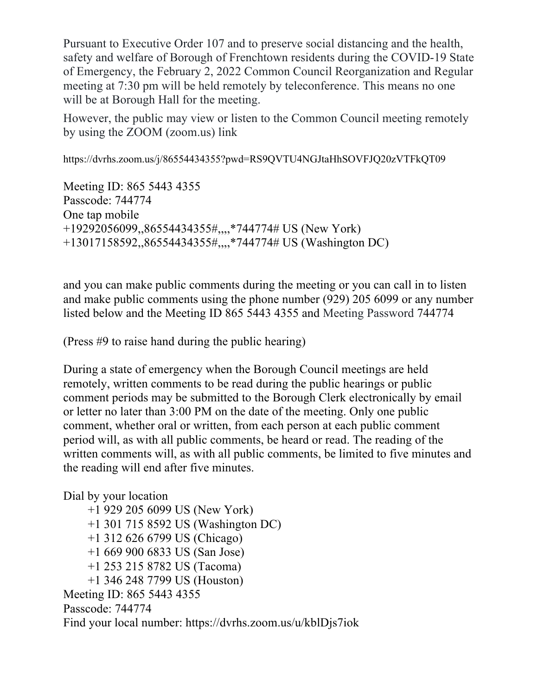Pursuant to Executive Order 107 and to preserve social distancing and the health, safety and welfare of Borough of Frenchtown residents during the COVID-19 State of Emergency, the February 2, 2022 Common Council Reorganization and Regular meeting at 7:30 pm will be held remotely by teleconference. This means no one will be at Borough Hall for the meeting.

However, the public may view or listen to the Common Council meeting remotely by using the ZOOM (zoom.us) link

https://dvrhs.zoom.us/j/86554434355?pwd=RS9QVTU4NGJtaHhSOVFJQ20zVTFkQT09

Meeting ID: 865 5443 4355 Passcode: 744774 One tap mobile +19292056099,,86554434355#,,,,\*744774# US (New York) +13017158592,,86554434355#,,,,\*744774# US (Washington DC)

and you can make public comments during the meeting or you can call in to listen and make public comments using the phone number (929) 205 6099 or any number listed below and the Meeting ID 865 5443 4355 and Meeting Password 744774

(Press #9 to raise hand during the public hearing)

During a state of emergency when the Borough Council meetings are held remotely, written comments to be read during the public hearings or public comment periods may be submitted to the Borough Clerk electronically by email or letter no later than 3:00 PM on the date of the meeting. Only one public comment, whether oral or written, from each person at each public comment period will, as with all public comments, be heard or read. The reading of the written comments will, as with all public comments, be limited to five minutes and the reading will end after five minutes.

Dial by your location

 +1 929 205 6099 US (New York) +1 301 715 8592 US (Washington DC) +1 312 626 6799 US (Chicago) +1 669 900 6833 US (San Jose) +1 253 215 8782 US (Tacoma) +1 346 248 7799 US (Houston) Meeting ID: 865 5443 4355 Passcode: 744774 Find your local number: https://dvrhs.zoom.us/u/kblDjs7iok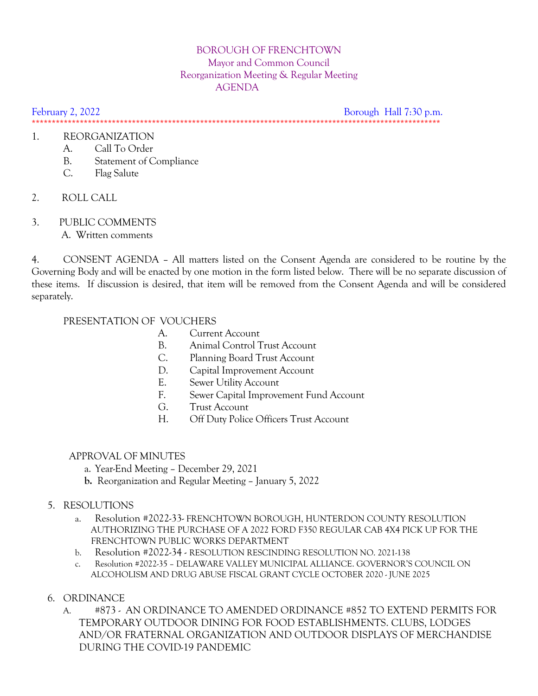# BOROUGH OF FRENCHTOWN Mayor and Common Council Reorganization Meeting & Regular Meeting AGENDA

February 2, 2022 **Borough Hall 7:30 p.m.** \*\*\*\*\*\*\*\*\*\*\*\*\*\*\*\*\*\*\*\*\*\*\*\*\*\*\*\*\*\*\*\*\*\*\*\*\*\*\*\*\*\*\*\*\*\*\*\*\*\*\*\*\*\*\*\*\*\*\*\*\*\*\*\*\*\*\*\*\*\*\*\*\*\*\*\*\*\*\*\*\*\*\*\*\*\*\*\*\*\*\*\*\*\*\*\*\*\*\*\*\*\*

#### 1. REORGANIZATION

- A. Call To Order
- B. Statement of Compliance
- C. Flag Salute
- 2. ROLL CALL
- 3. PUBLIC COMMENTS
	- A. Written comments

4. CONSENT AGENDA – All matters listed on the Consent Agenda are considered to be routine by the Governing Body and will be enacted by one motion in the form listed below. There will be no separate discussion of these items. If discussion is desired, that item will be removed from the Consent Agenda and will be considered separately.

#### PRESENTATION OF VOUCHERS

- A. Current Account
- B. Animal Control Trust Account
- C. Planning Board Trust Account
- D. Capital Improvement Account
- E. Sewer Utility Account
- F. Sewer Capital Improvement Fund Account
- G. Trust Account
- H. Off Duty Police Officers Trust Account

# APPROVAL OF MINUTES

- a. Year-End Meeting December 29, 2021
- **b.** Reorganization and Regular Meeting January 5, 2022

# 5. RESOLUTIONS

- a. Resolution #2022-33- FRENCHTOWN BOROUGH, HUNTERDON COUNTY RESOLUTION AUTHORIZING THE PURCHASE OF A 2022 FORD F350 REGULAR CAB 4X4 PICK UP FOR THE FRENCHTOWN PUBLIC WORKS DEPARTMENT
- b. Resolution #2022-34 RESOLUTION RESCINDING RESOLUTION NO. 2021-138
- c. Resolution #2022-35 DELAWARE VALLEY MUNICIPAL ALLIANCE. GOVERNOR'S COUNCIL ON ALCOHOLISM AND DRUG ABUSE FISCAL GRANT CYCLE OCTOBER 2020 - JUNE 2025

# 6. ORDINANCE

A. #873 - AN ORDINANCE TO AMENDED ORDINANCE #852 TO EXTEND PERMITS FOR TEMPORARY OUTDOOR DINING FOR FOOD ESTABLISHMENTS. CLUBS, LODGES AND/OR FRATERNAL ORGANIZATION AND OUTDOOR DISPLAYS OF MERCHANDISE DURING THE COVID-19 PANDEMIC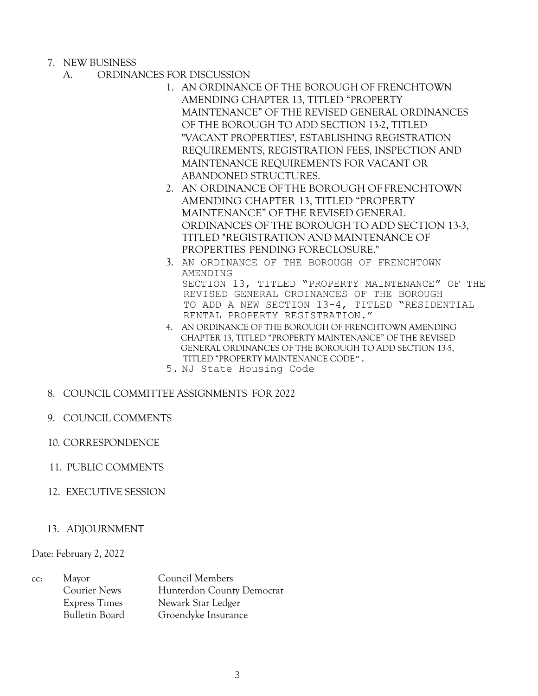- 7. NEW BUSINESS
	- A. ORDINANCES FOR DISCUSSION
		- 1. AN ORDINANCE OF THE BOROUGH OF FRENCHTOWN AMENDING CHAPTER 13, TITLED "PROPERTY MAINTENANCE" OF THE REVISED GENERAL ORDINANCES OF THE BOROUGH TO ADD SECTION 13-2, TITLED "VACANT PROPERTIES", ESTABLISHING REGISTRATION REQUIREMENTS, REGISTRATION FEES, INSPECTION AND MAINTENANCE REQUIREMENTS FOR VACANT OR ABANDONED STRUCTURES.
		- 2. AN ORDINANCE OFTHE BOROUGH OF FRENCHTOWN AMENDING CHAPTER 13, TITLED "PROPERTY MAINTENANCE" OF THE REVISED GENERAL ORDINANCES OF THE BOROUGH TO ADD SECTION 13-3, TITLED "REGISTRATION AND MAINTENANCE OF PROPERTIES PENDING FORECLOSURE."
		- 3. AN ORDINANCE OF THE BOROUGH OF FRENCHTOWN AMENDING SECTION 13, TITLED "PROPERTY MAINTENANCE" OF THE REVISED GENERAL ORDINANCES OF THE BOROUGH TO ADD A NEW SECTION 13-4, TITLED "RESIDENTIAL RENTAL PROPERTY REGISTRATION."
		- 4. AN ORDINANCE OF THE BOROUGH OF FRENCHTOWN AMENDING CHAPTER 13, TITLED "PROPERTY MAINTENANCE" OF THE REVISED GENERAL ORDINANCES OF THE BOROUGH TO ADD SECTION 13-5, TITLED "PROPERTY MAINTENANCE CODE".
		- 5. NJ State Housing Code
- 8. COUNCIL COMMITTEE ASSIGNMENTS FOR 2022
- 9. COUNCIL COMMENTS
- 10. CORRESPONDENCE
- 11. PUBLIC COMMENTS
- 12. EXECUTIVE SESSION
- 13. ADJOURNMENT

Date: February 2, 2022

| CC: | Mayor                 | Council Members           |
|-----|-----------------------|---------------------------|
|     | <b>Courier News</b>   | Hunterdon County Democrat |
|     | <b>Express Times</b>  | Newark Star Ledger        |
|     | <b>Bulletin Board</b> | Groendyke Insurance       |